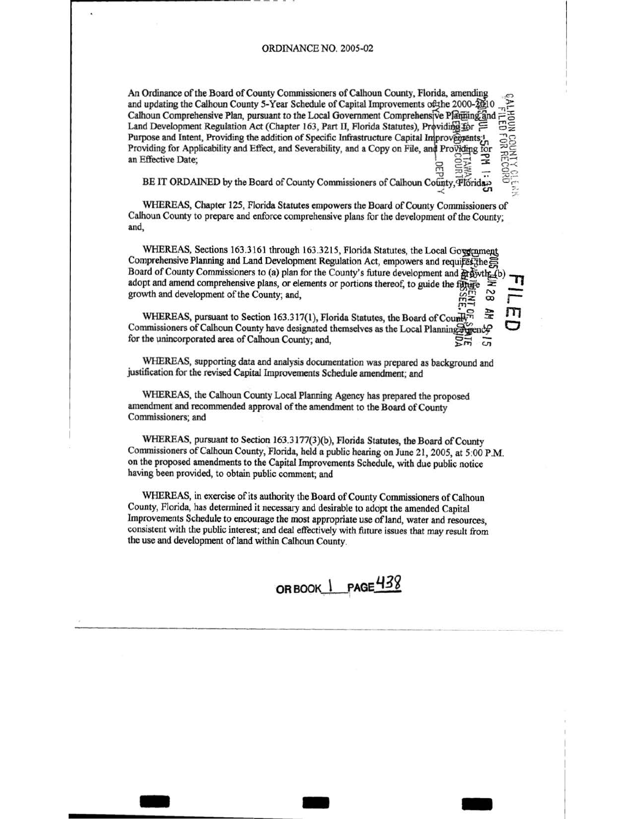### ORDINANCE NO. 2005-02

An Ordinance of the Board of County Commissioners of Calhoun County, Florida, amending and updating the Calhoun County 5-Year Schedule of Capital Improvements of the 2000-2810 Calhoun Comprehensive Plan, pursuant to the Local Government Comprehensive Planning and = Land Development Regulation Act (Chapter 163, Part II, Florida Statutes), Providing for Purpose and Intent, Providing the addition of Specific Infrastructure Capital Improvements; Providing for Applicability and Effect, and Severability, and a Copy on File, and Providing for an Effective Date: ĕÉ 결정

BE IT ORDAINED by the Board of County Commissioners of Calhoun County, Florida;

WHEREAS, Chapter 125, Florida Statutes empowers the Board of County Commissioners of Calhoun County to prepare and enforce comprehensive plans for the development of the County: and.

WHEREAS, Sections 163.3161 through 163.3215, Florida Statutes, the Local Government Comprehensive Planning and Land Development Regulation Act, empowers and requires the Board of County Commissioners to (a) plan for the County's future development and gravits.(b) adopt and amend comprehensive plans, or elements or portions thereof, to guide the filture growth and development of the County; and,

WHEREAS, pursuant to Section 163.317(1), Florida Statutes, the Board of County<sup>C</sup> Commissioners of Calhoun County have designated themselves as the Local Planning for the unincorporated area of Calhoun County; and,  $\overline{c}$ 

WHEREAS, supporting data and analysis documentation was prepared as background and justification for the revised Capital Improvements Schedule amendment; and

WHEREAS, the Calhoun County Local Planning Agency has prepared the proposed amendment and recommended approval of the amendment to the Board of County Commissioners; and

WHEREAS, pursuant to Section 163.3177(3)(b), Florida Statutes, the Board of County Commissioners of Calhoun County, Florida, held a public hearing on June 21, 2005, at 5:00 P.M. on the proposed amendments to the Capital Improvements Schedule, with due public notice having been provided, to obtain public comment; and

WHEREAS, in exercise of its authority the Board of County Commissioners of Calhoun County, Florida, has determined it necessary and desirable to adopt the amended Capital Improvements Schedule to encourage the most appropriate use of land, water and resources, consistent with the public interest; and deal effectively with future issues that may result from the use and development of land within Calhoun County.

OR BOOK 1 PAGE 438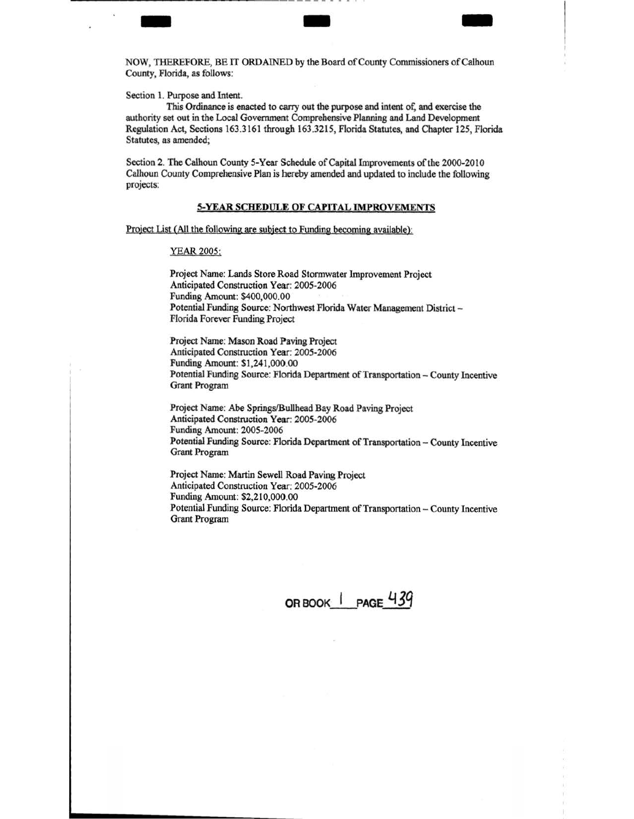- - - NOW, THEREFORE, BE IT ORDAINED by the Board of County Commissioners of Calhoun County, Florida, as follows:

Section 1. Purpose and Intent.

This Ordinance is enacted to carry out the purpose and intent of, and exercise the authority set out in the Local Government Comprehensive Planning and Land Development Regulation Act, Sections 163.3161 through 163.3215, Florida Statutes, and Chapter 125, Florida Statutes, as amended;

Section 2. The Calhoun County 5-Year Schedule of Capital Improvements of the 2000-2010 Calhoun County Comprehensive Plan is hereby amended and updated to include the following projects:

#### 5-YEAR SCHEDULE OF CAPITAL IMPROVEMENTS

Project List (All the following are subject to Funding becoming available):

YEAR 2005:

Project Name: Lands Store Road Stormwater Improvement Project Anticipated Construction Year: 2005-2006 Funding Amount: \$400,000.00 Potential Funding Source: Northwest Florida Water Management District-Florida Forever Funding Project

Project Name: Mason Road Paving Project Anticipated Construction Year: 2005-2006 Funding Amount: \$1,241,000.00 Potential Funding Source: Florida Department of Transportation- County Incentive Grant Program

Project Name: Abe Springs/Bullhead Bay Road Paving Project Anticipated Construction Year: 2005-2006 Funding Amount: 2005-2006 Potential Funding Source: Florida Department of Transportation - County Incentive Grant Program

Project Name: Martin Sewell Road Paving Project Anticipated Construction Year: 2005-2006 Funding Amount: \$2,210,000.00 Potential Funding Source: Florida Department of Transportation - County Incentive Grant Program

**OR** BOOK\_I\_ PAGE **LJ3q**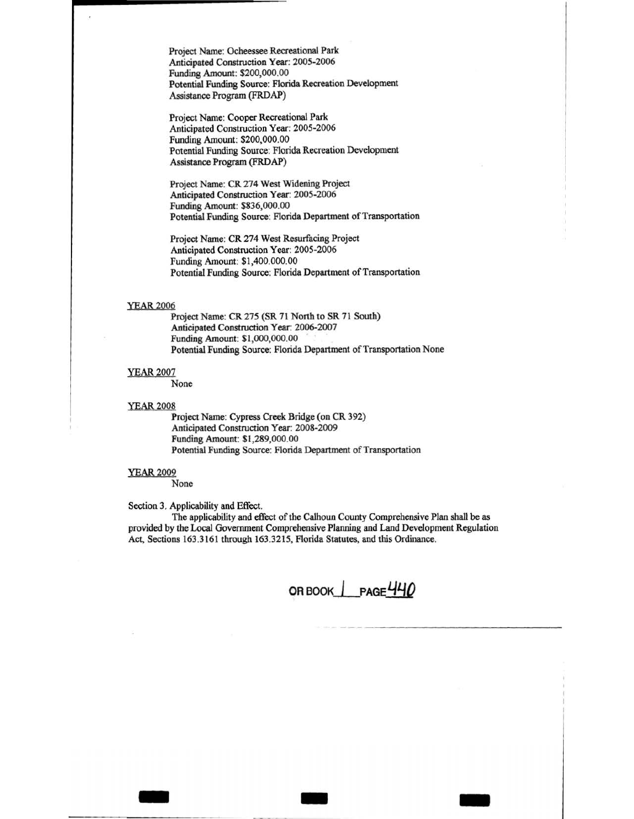Project Name: Ocheessee Recreational Park Anticipated Construction Year: 2005-2006 Funding Amount: \$200,000.00 Potential Funding Source: Florida Recreation Development Assistance Program (FRDAP)

Project Name: Cooper Recreational Park Anticipated Construction Year: 2005-2006 Funding Amount: \$200,000.00 Potential Funding Source: Florida Recreation Development Assistance Program (FRDAP)

Project Name: CR 274 West Widening Project Anticipated Construction Year: 2005-2006 Funding Amount: \$836,000.00 Potential Funding Source: Florida Department of Transportation

Project Name: CR 274 West Resurfacing Project Anticipated Construction Year: 2005-2006 Funding Amount: \$1,400.000.00 Potential Funding Source: Florida Department of Transportation

#### **YEAR 2006**

Project Name: CR 275 (SR 71 North to SR 71 South) Anticipated Construction Year: 2006-2007 Funding Amount: \$1,000,000.00 Potential Funding Source: Florida Department of Transportation None

## **YEAR 2007**

None

#### **YEAR 2008**

Project Name: Cypress Creek Bridge (on CR 392) Anticipated Construction Year: 2008-2009 Funding Amount: \$1,289,000.00 Potential Funding Source: Florida Department of Transportation

#### **YEAR 2009**

None

Section 3. Applicability and Effect.

The applicability and effect of the Calhoun County Comprehensive Plan shall be as provided by the Local Government Comprehensive Planning and Land Development Regulation Act, Sections 163.3161 through 163.3215, Florida Statutes, and this Ordinance.

- - -

# OR BOOK PAGE 440